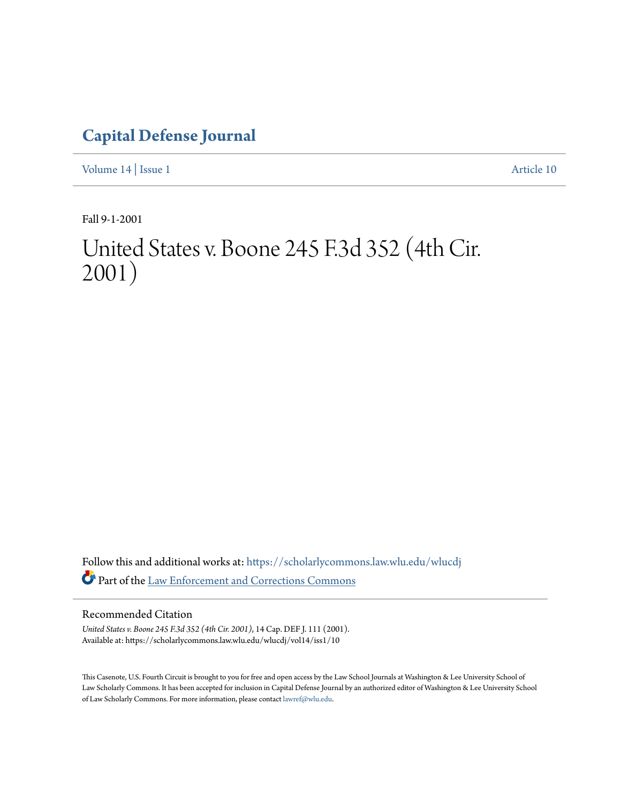## **[Capital Defense Journal](https://scholarlycommons.law.wlu.edu/wlucdj?utm_source=scholarlycommons.law.wlu.edu%2Fwlucdj%2Fvol14%2Fiss1%2F10&utm_medium=PDF&utm_campaign=PDFCoverPages)**

[Volume 14](https://scholarlycommons.law.wlu.edu/wlucdj/vol14?utm_source=scholarlycommons.law.wlu.edu%2Fwlucdj%2Fvol14%2Fiss1%2F10&utm_medium=PDF&utm_campaign=PDFCoverPages) | [Issue 1](https://scholarlycommons.law.wlu.edu/wlucdj/vol14/iss1?utm_source=scholarlycommons.law.wlu.edu%2Fwlucdj%2Fvol14%2Fiss1%2F10&utm_medium=PDF&utm_campaign=PDFCoverPages) [Article 10](https://scholarlycommons.law.wlu.edu/wlucdj/vol14/iss1/10?utm_source=scholarlycommons.law.wlu.edu%2Fwlucdj%2Fvol14%2Fiss1%2F10&utm_medium=PDF&utm_campaign=PDFCoverPages)

Fall 9-1-2001

## United States v. Boone 245 F.3d 352 (4th Cir. 2001)

Follow this and additional works at: [https://scholarlycommons.law.wlu.edu/wlucdj](https://scholarlycommons.law.wlu.edu/wlucdj?utm_source=scholarlycommons.law.wlu.edu%2Fwlucdj%2Fvol14%2Fiss1%2F10&utm_medium=PDF&utm_campaign=PDFCoverPages) Part of the [Law Enforcement and Corrections Commons](http://network.bepress.com/hgg/discipline/854?utm_source=scholarlycommons.law.wlu.edu%2Fwlucdj%2Fvol14%2Fiss1%2F10&utm_medium=PDF&utm_campaign=PDFCoverPages)

#### Recommended Citation

*United States v. Boone 245 F.3d 352 (4th Cir. 2001)*, 14 Cap. DEF J. 111 (2001). Available at: https://scholarlycommons.law.wlu.edu/wlucdj/vol14/iss1/10

This Casenote, U.S. Fourth Circuit is brought to you for free and open access by the Law School Journals at Washington & Lee University School of Law Scholarly Commons. It has been accepted for inclusion in Capital Defense Journal by an authorized editor of Washington & Lee University School of Law Scholarly Commons. For more information, please contact [lawref@wlu.edu.](mailto:lawref@wlu.edu)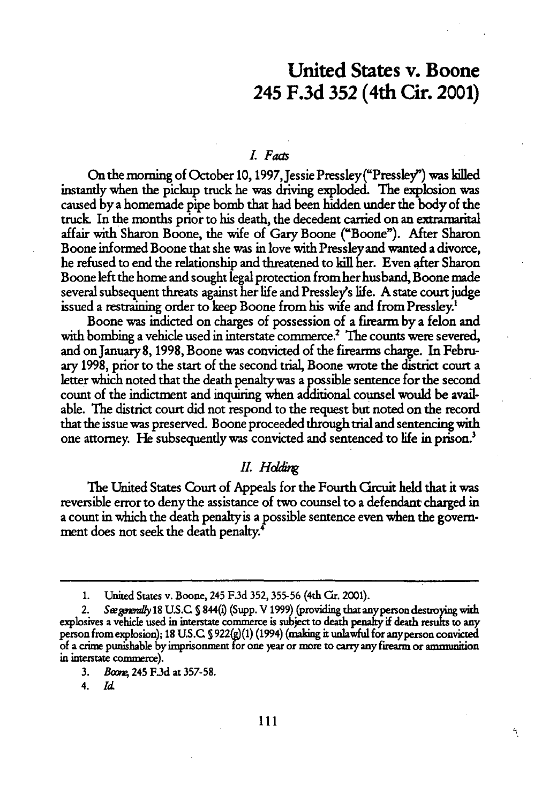### United States v. Boone 245 **F.3d 352** (4th Cir. 2001)

#### *LFas*

On the morning of October **10,** 1997,Jessie Pressley("Pressley") was killed instantly when the pickup truck he was driving exploded. **The** explosion was caused **by** a homemade pipe bomb that had been hidden under the body of the truck In the months prior to his death, the decedent carried on an extramarital affair with Sharon Boone, the wife of Gary Boone ("Boone"). After Sharon Boone informed Boone that she was in love with Pressley and wanted a divorce, he refused to end the relationship and threatened to kill her. Even after Sharon Boone left the home and sought legal protection from her husband, Boone made several subsequent threats against her life and Pressley's life. A state court judge issued a restraining order to keep Boone from his wife and from Pressley.'

Boone was indicted on charges of possession of a firearm **by** a felon and with bombing a vehicle used in interstate commerce.<sup>2</sup> The counts were severed, and on January 8, 1998, Boone was convicted of the firearms charge. In February 1998, prior to the start of the second trial, Boone wrote the district court a letter which noted that the death penalty was a possible sentence for the second count of the indictment and inquiring when additional counsel would be available. The district court did not respond to the request but noted on the record that the issue was preserved. Boone proceeded through trial and sentencing with one attorney. He subsequently was convicted and sentenced to life in prison.'

#### *II. Hddig*

The United States Court of Appeals for the Fourth Circuit held that it was reversible error to denythe assistance of two counsel to a defendant charged in a count in which the death penaltyis a possible sentence even when the government does not seek the death penalty.4

٩

<sup>1.</sup> United States v. Boone, 245 **F3d 352, 355-56** (4th Cir. 2001).

<sup>2.</sup> *See generally* 18 U.S.C. § 844(i) (Supp. V 1999) (providing that any person destroying with explosives a vehicle used in interstate commerce is subject to death penalty if death results to any person from explosion); 18 U.S.C § 922(g)(1) (1994) (making it unlawful for any person convicted **of** a crime punishable byiimprisonment **for** one year or more to **carry** any firearm or ammunition **in** interstate commerce).

**<sup>3.</sup>** *Bom* 245 **F.3d** at **357-58.**

**<sup>4.</sup>** *Id*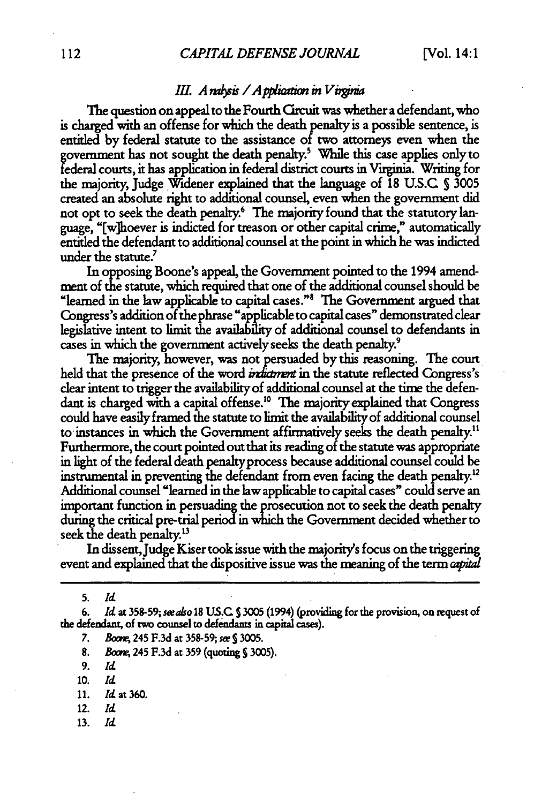#### *XII. A rahsis* / *A pplication in Virginia*

The question on appeal to the Fourth Grcuit was whether a defendant, who is charged with an offense for which the death penalty is a possible sentence, is entitled by federal statute to the assistance of two attorneys even when the govemnment has not sought the death penalty.' While this case applies only to ederal courts, it has application in federal district courts in Virginia- Writing for the majority, Judge Widener explained that the language of 18 U.S.C S 3005 created an absolute right to additional counsel, even when the government did not opt to seek the death penalty.<sup>6</sup> The majority found that the statutory language, "[w]hoever is indicted for treason or other capital crime," automatically entitled the defendant to additional counsel at the point in which he was indicted under the statute.<sup>7</sup>

In opposing Boone's appeal, the Government pointed to the 1994 amend-<br>ment of the statute, which required that one of the additional counsel should be "learned in the law applicable to capital cases." The Government argued that Congress's addition of the phrase "applicable to capital cases" demonstrated clear legislative intent to limit the availability of additional counsel to defendants in cases in which the government actively seeks the death penalty.9

The majority, however, was not persuaded by this reasoning. The court held that the presence of the word *indiament* in the statute reflected Congress's clear intent to trigger the availability of additional counsel at the tire the defendant is charged with a capital offense.'0 The majority explained that Congress could have easily framed the statute to limit the availabilityof additional counsel to instances in which the Government affirmatively seeks the death penalty." Furthermore, the court pointed out that its reading of the statute was appropriate in light of the federal death penaltyprocess because additional counsel could be instrumental in preventing the defendant from even facing the death penalty.'2 Additional counsel "learned in the law applicable to capital cases" could serve an important function in persuading the prosecution not to seek the death penalty during the critical pre-trial period in which the Government decided whether to seek the death penalty.<sup>13</sup>

In dissent, Judge Kiser took issue with the majority's focus on the triggering event and explained that the dispositive issue was the meaning of the term *aptal*

**5.** *Id*

**6.** *Id* at **358-59; seealso 18 US.C S** 3005 (1994) (providing for the provision, on request of the defendant, of two counsel to defendants **in** capital **cases).**

*7. Bor* 245 **F.3d** at 358-59; **sw** *5* 3005.

8. *Boom* 245 F.3d at **359** (quoting **S** 3005).

**9.** *Id*

10. *Id*

11. *Id* **at360.**

12. *Id*

**13.** *Id*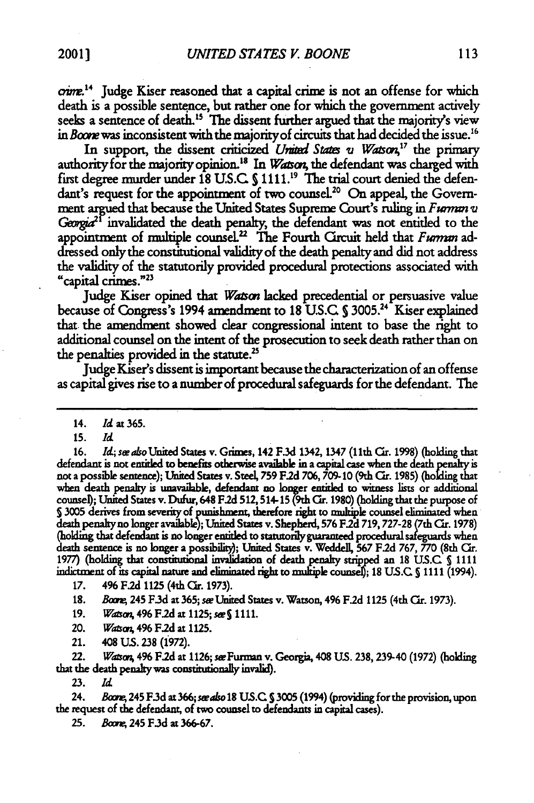crime.<sup>14</sup> Judge Kiser reasoned that a capital crime is not an offense for which death is a possible sentence, but rather one for which the government actively seeks a sentence of death.<sup>15</sup> The dissent further argued that the majority's view in *Boore* was inconsistent with the majority of circuits that had decided the issue.<sup>16</sup>

In support, the dissent criticized *United States v Watson*,<sup>17</sup> the primary authority for the majority opinion.<sup>18</sup> In *Watson*, the defendant was charged with first degree murder under 18 U.S.C. § 1111.<sup>19</sup> The trial court denied the defendant's request for the appointment of two counsel.<sup>20</sup> On appeal, the Government argued that because the United States Supreme Court's ruling in *Fwmm v Georgia*<sup>21</sup> invalidated the death penalty, the defendant was not entitled to the appointment of multiple counsel.<sup>22</sup> The Fourth Circuit held that *Furman* addressed only the constitutional validity of the death penalty and did not address the validity of the statutorily provided procedural protections associated with "capital crimes."<sup>23</sup>

Judge Kiser opined that *Wason* lacked precedential or persuasive value because of Congress's 1994 amendment to 18 U.S.C. § 3005.<sup>24</sup> Kiser explained that the amendment showed clear congressional intent to base the right to additional counsel on the intent of the prosecution to seek death rather than on the penalties provided in the statute.<sup>25</sup>

Judge Kiser's dissent is important because the characterization of an offense as capital gives rise to a number of procedural safeguards for the defendant. The

16. *Id. seako* United States v. Grimes, 142 **F.3d** 1342, 1347 (11th Or. **1998)** (holding that defendant is not entitled to benefts otherwise available in a capital case when the death penalty is not a possible sentence); United States v. Steel, **759** *F2d* **706, 709-10** (9th Cr. **1985) (holding** that when death penalty is unavailable, defendant no **loger** entitled to witness lists or additional counsel); United States v. Dufur, 648 **F.2d** 512,514-15(9th **Cr. 1980)** (holding that the purpose of **53005** derives from severity of punishment, therefore right to multiple counsel eliminated when death penalyno longer available); United States v. Shepherd, **576 F.2d 719,727-28** (7th Cr. **1978)** (holding that defendant is no longer entitled to statutorily guaranteed procedural safeguards when death sentence is no longer a possibility); United States v. Weddell, **567 F.2d** 767, **770** (8th *Cr.* **1977)** (holding that constitutional invalidation of **death** penaly strped an **18 US.C** S **<sup>1111</sup>** indictment of its capital nature and eliminated right to multiple counsel); **18 US.C** § 1111 (1994).

17. **496 F.2d 1125 (4th Cir. 1973).** 

**18.** *Babo,* 245 **F.3d** at **365;** *se* United States v. Watson, 496 **F.2d** 1125 (4th *Cr.* 1973).

19. *Watson*, 496 F.2d at 1125; see § 1111.

20. *Waso,* **496 F2d at 1125.**

21. 408 **US. 238** (1972).

22. *Warso,* 4% F.2d at **1126;** seFurman v. Georgia, 408 **US. 238,239-40 (1972)** (holding that the death penalty **was** constmutionaly invalid).

**23.** *Id*

24. *Brwn,* 245 **F.3d** at **366;** *saso* **18 US.C S** 3005 (1994) (providing for the provision, upon the request of the defendant, of two counsel **to** defendants in capital cases).

**25.** *BmA* 245 **F.3d at 366-67.**

<sup>14.</sup> *Id* at **365.**

**<sup>15.</sup>** *Id*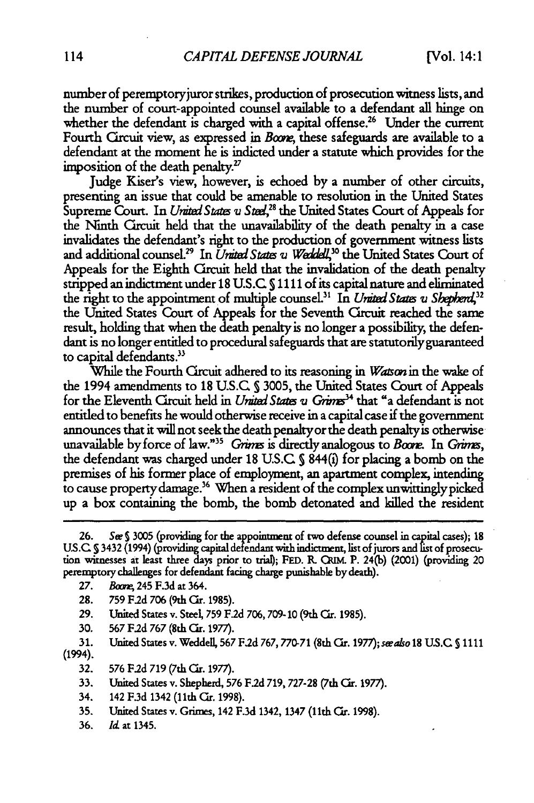number of peremptory juror strikes, production of prosecution witness lists, and the number of court-appointed counsel available to a defendant all hinge on whether the defendant is charged with a capital offense.<sup>26</sup> Under the current Fourth Circuit view, as expressed in *Boone*, these safeguards are available to a defendant at the moment he is indicted under a statute which provides for the imposition of the death penalty."

Judge Kiser's view, however, is echoed by a number of other circuits, presenting an issue that could be amenable to resolution in the United States Supreme Court. In *United States v Steel*,<sup>28</sup> the United States Court of Appeals for the Ninth Circuit held that the unavailability of the death penalty in a case invalidates the defendant's right to the production of government witness lists and additional counsel.<sup>29</sup> In *United States v Weddell*,<sup>30</sup> the United States Court of Appeals for the Eighth Circuit held that the invalidation of the death penalty stripped an indictment under 18 **US.C 5** 1111 of its capital nature and eliminated the right to the appointment of multiple counsel.<sup>31</sup> In *United States v Shepherd*,<sup>32</sup> the United States Court of Appeals for the Seventh Circuit reached the same result, holding that when the death penalty is no longer a possibility, the defendant is no longer entitled to procedural safeguards that are statutorily guaranteed to capital defendants.<sup>33</sup>

While the Fourth Circuit adhered to its reasoning in *Wasonin* the wake of the 1994 amendments to 18 U.S.C **S 3005,** the United States Court of Appeals for the Eleventh Circuit held in *United States v Grimes*<sup>34</sup> that "a defendant is not entitled to benefits he would otherwise receive in a capital case if the government announces that it will not seek the death penaltyor the death penaltyis otherwise unavailable by force of law."<sup>35</sup> Grims is directly analogous to *Boore*. In Grims, the defendant was charged under **18 U.S.C S** 844() for placing a bomb on the premises of his former place of employment, an apartment complex, intending to cause propertydamage.36 When a resident of the complex unwittinglypicked up a box containing the bomb, the bomb detonated and killed the resident

- **28. 759** F.2d **706** (9th Cr. 1985).
- **29.** United States v. Steel, **759** *F2d* **706, 709- 10** (9th Or. **1985).**
- **30. 567 FId 767** (8th Or. 1977).

**31.** United States v. Weddell, **567** F .d 767,770-71 (8th Cr. **1977);** swaso 18 **U.S.C S** <sup>1111</sup> (1994).

- **32. 576** F.2d **719** (7th ar. 1977).
- **33.** United States v. Shepherd, **576** F.2d 719, **727-28** (7th Or. 1977).
- 34. 142 F.3d 1342 (11th Cir. 1998).
- **35.** United States v. Grimes, 142 F.3d 1342, 1347 (11th Or. 1998).
- **36. Id.** at 1345.

**<sup>26.</sup>** *Sw* **S 3005** (providing for the appointment of two defense counsel in capital cases); **18 US.C S** 3432 (1994) (providing capital defendant with indictment, list of jurors **and** istof prosecution witnesses **at** least three days prior to trial; **FED.** R. QUM. P. 24(b) (2001) (providing 20 peremptory challenges for defendant facing charge punishable **by** death).

**<sup>27.</sup>** *Boone*, 245 F.3d at 364.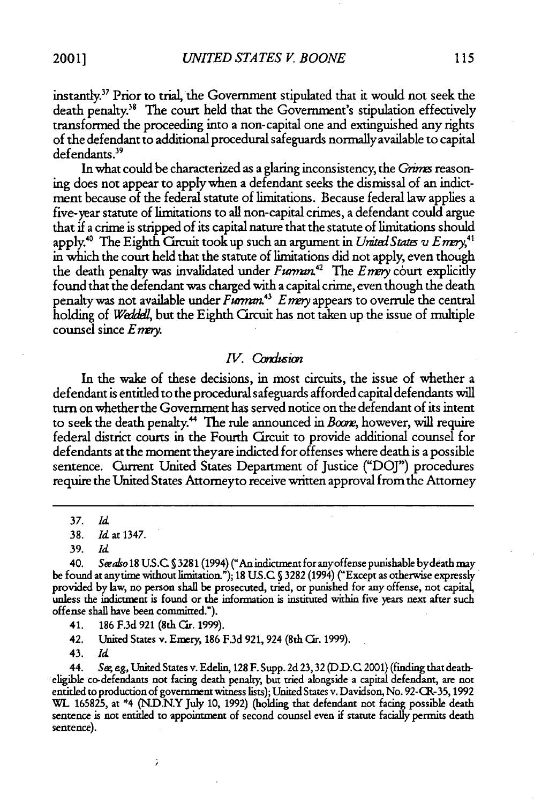instantly." Prior to trial, the Government stipulated that it would not seek the death penalty.<sup>38</sup> The court held that the Government's stipulation effectively transformed the proceeding into a non-capital one and extinguished any rights of the defendant to additional procedural safeguards normally available to capital defendants.<sup>39</sup>

In what could be characterized as a glaring inconsistency, the *Grimes* reasoning does not appear to apply when a defendant seeks the dismissal of an indictment because of the federal statute of limitations. Because federal law applies a five-year statute of limitations to all non-capital crimes, a defendant could argue that if a crime is stripped of its capital nature that the statute of limitations should apply.<sup>40</sup> The Eighth Circuit took up such an argument in *United States v E mery*,<sup>41</sup> in which the court held that the statute of limitations did not apply, even though the death penalty was invalidated under *Furman*<sup>42</sup> The *Enry* court explicitly found that the defendant was charged with a capital crime, even though the death penalty was not available under *Furman*<sup>43</sup> E mery appears to overrule the central holding of *WaideJ,* but the Eighth Circuit has not taken up the issue of multiple counsel since *Enrvy.*

#### *IV.* Condusion

In the wake of these decisions, in most circuits, the issue of whether a defendant is entitled to the procedural safeguards afforded capital defendants will turn on whether the Government has served notice on the defendant of its intent to seek the death penalty.<sup>44</sup> The rule announced in Boone, however, will require federal district courts in the Fourth Circuit to provide additional counsel for defendants at the moment theyare indicted for offenses where death is a possible sentence. Current United States Department of Justice ("DOJ") procedures require the United States Attomeyto receive written approval from the Attorney

39. *Id*

41. **186** F.3d **921** (8th (ar. 1999).

ï

42. United States v. Emery, 186 F.3d 921, 924 (8th Cir. 1999).

43. *Id*

44. **Se,** *eg,* United States v. Edelin, 128 F. *Supp.* 2d 23,32 (D.D.C 2001) (finding that deatheligible co-defendants not facing death penalty, but tried alongside a capital defendant, are not entitled to production of government witness lists); United States v. Davidson, No. 92-CR-35,1992 **WL** 165825, at \*4 (ND.N.Y July 10, 1992) (holding that defendant not facing possible death sentence is not entitled to appointment of second counsel even if statute facially permits death sentence).

<sup>37.</sup> *Id*

<sup>38.</sup> Id at 1347.

<sup>40.</sup> *Sraso* 18 **US.C S** 3281 (1994) ("An indictment for anyoffense punishable bydeath may be found at anytime without limitation."); 18 **U.S.C §** 3282 (1994) ("Except as otherwise expressly provided by law, no person shall be prosecuted, tried, or punished for any offense, not capital, unless the indictment is found or the information is instituted within five years next after such offense shall have been committed.").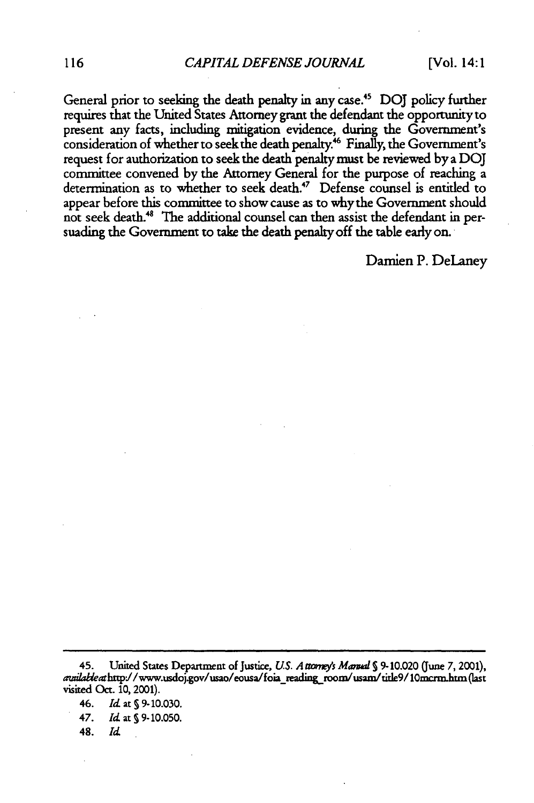General prior to seeking the death penalty in any case.45 **DOJ** policy further requires that the United States Attorney grant the defendant the opportunity to present any facts, including mitigation evidence, during the Government's consideration of whether to seek the death penalty.<sup>46</sup> Finally, the Government's request for authorization to seek the death penalty must be reviewed by a DOJ committee convened by the Attorney General for the purpose of reaching a determination as to whether to seek death.<sup>47</sup> Defense counsel is entitled to appear before this committee to show cause as to why the Government should not seek death.<sup>48</sup> The additional counsel can then assist the defendant in persuading the Government to take the death penalty off the table early on.

Damien P. DeLaney

46. *Id* at **S** 9-10.030.

47. *Id* at **S** 9-10.050.

48. *Id*

<sup>45.</sup> United States Department of Justice, *US. A £rmcsys Mamd S* 9-10.020 (June **7,** 2001), avuilableat http://www.usdoj.gov/usao/eousa/foia\_reading\_room/usam/title9/10mcrm.htm (last visited Oct. 10, 2001).